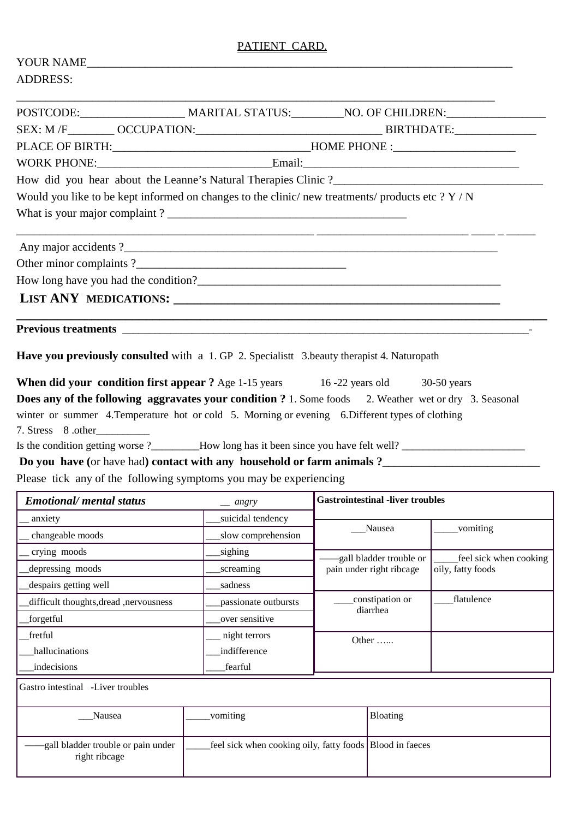## PATIENT CARD.

| YOUR NAME                                                         |                                                                                                                |
|-------------------------------------------------------------------|----------------------------------------------------------------------------------------------------------------|
| <b>ADDRESS:</b>                                                   |                                                                                                                |
|                                                                   |                                                                                                                |
|                                                                   |                                                                                                                |
|                                                                   | PLACE OF BIRTH: ___________________________________HOME PHONE :_________________                               |
|                                                                   |                                                                                                                |
|                                                                   |                                                                                                                |
|                                                                   | Would you like to be kept informed on changes to the clinic/new treatments/ products etc $? Y/N$               |
|                                                                   |                                                                                                                |
|                                                                   |                                                                                                                |
|                                                                   |                                                                                                                |
|                                                                   |                                                                                                                |
|                                                                   |                                                                                                                |
|                                                                   |                                                                                                                |
|                                                                   | Have you previously consulted with a 1. GP 2. Specialist 3.beauty therapist 4. Naturopath                      |
|                                                                   | <b>When did your condition first appear ?</b> Age 1-15 years 16 -22 years old 30-50 years                      |
|                                                                   | Does any of the following aggravates your condition ? 1. Some foods 2. Weather wet or dry 3. Seasonal          |
|                                                                   | winter or summer 4. Temperature hot or cold 5. Morning or evening 6. Different types of clothing               |
| 7. Stress 8.other                                                 |                                                                                                                |
|                                                                   | Is the condition getting worse ?_______How long has it been since you have felt well? ________________________ |
|                                                                   |                                                                                                                |
| Please tick any of the following symptoms you may be experiencing |                                                                                                                |

| <b>Emotional/</b> mental status<br>$=$ angry |                      | <b>Gastrointestinal -liver troubles</b> |                                             |  |
|----------------------------------------------|----------------------|-----------------------------------------|---------------------------------------------|--|
| anxiety                                      | suicidal tendency    |                                         | vomiting                                    |  |
| changeable moods                             | slow comprehension   | Nausea                                  |                                             |  |
| crying moods                                 | sighing              | -gall bladder trouble or                | feel sick when cooking<br>oily, fatty foods |  |
| depressing moods                             | screaming            | pain under right ribcage                |                                             |  |
| despairs getting well                        | sadness              |                                         |                                             |  |
| difficult thoughts, dread, nervousness       | passionate outbursts | constipation or                         | flatulence                                  |  |
| forgetful                                    | over sensitive       | diarrhea                                |                                             |  |
| fretful                                      | night terrors        | Other                                   |                                             |  |
| hallucinations                               | indifference         |                                         |                                             |  |
| indecisions                                  | fearful              |                                         |                                             |  |

Gastro intestinal -Liver troubles

| Nausea                                               | vomiting                                                   | <b>Bloating</b> |
|------------------------------------------------------|------------------------------------------------------------|-----------------|
| -gall bladder trouble or pain under<br>right ribcage | feel sick when cooking oily, fatty foods   Blood in faeces |                 |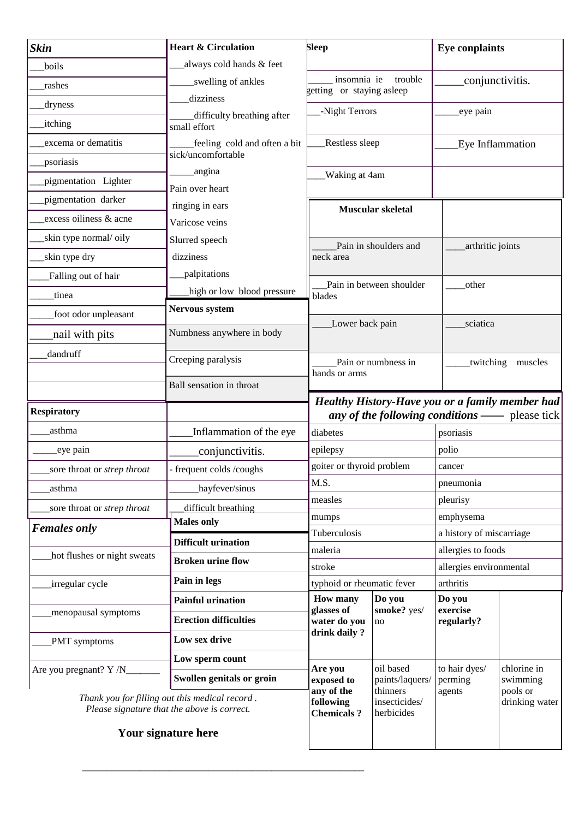| <b>Skin</b>                                                                                   | <b>Heart &amp; Circulation</b>             | <b>Sleep</b>                                        |                                         | <b>Eye conplaints</b>                         |                                                                                                          |  |
|-----------------------------------------------------------------------------------------------|--------------------------------------------|-----------------------------------------------------|-----------------------------------------|-----------------------------------------------|----------------------------------------------------------------------------------------------------------|--|
| boils                                                                                         | always cold hands & feet                   |                                                     |                                         |                                               |                                                                                                          |  |
| rashes                                                                                        | swelling of ankles                         | insomnia ie<br>trouble<br>getting or staying asleep |                                         | conjunctivitis.                               |                                                                                                          |  |
| dryness                                                                                       | dizziness                                  |                                                     |                                         |                                               |                                                                                                          |  |
| <i>itching</i>                                                                                | difficulty breathing after<br>small effort | -Night Terrors                                      |                                         | eye pain                                      |                                                                                                          |  |
| excema or dematitis                                                                           | feeling cold and often a bit               | Restless sleep                                      |                                         | Eye Inflammation                              |                                                                                                          |  |
| psoriasis                                                                                     | sick/uncomfortable                         |                                                     |                                         |                                               |                                                                                                          |  |
| pigmentation Lighter                                                                          | angina<br>Pain over heart                  | Waking at 4am                                       |                                         |                                               |                                                                                                          |  |
| pigmentation darker                                                                           | ringing in ears                            |                                                     |                                         |                                               |                                                                                                          |  |
| excess oiliness & acne                                                                        | Varicose veins                             | Muscular skeletal                                   |                                         |                                               |                                                                                                          |  |
| skin type normal/ oily                                                                        | Slurred speech                             |                                                     |                                         |                                               |                                                                                                          |  |
| skin type dry                                                                                 | dizziness                                  | Pain in shoulders and<br>neck area                  |                                         | arthritic joints                              |                                                                                                          |  |
| Falling out of hair                                                                           | palpitations                               |                                                     |                                         |                                               |                                                                                                          |  |
| tinea                                                                                         | high or low blood pressure                 | Pain in between shoulder<br>blades                  |                                         | other                                         |                                                                                                          |  |
| foot odor unpleasant                                                                          | <b>Nervous system</b>                      |                                                     |                                         |                                               |                                                                                                          |  |
| nail with pits                                                                                | Numbness anywhere in body                  |                                                     | Lower back pain                         |                                               | sciatica                                                                                                 |  |
| dandruff                                                                                      | Creeping paralysis                         |                                                     |                                         |                                               |                                                                                                          |  |
|                                                                                               |                                            | Pain or numbness in<br>hands or arms                |                                         | twitching muscles                             |                                                                                                          |  |
|                                                                                               | Ball sensation in throat                   |                                                     |                                         |                                               |                                                                                                          |  |
| <b>Respiratory</b>                                                                            |                                            |                                                     |                                         |                                               | Healthy History-Have you or a family member had<br><i>any of the following conditions</i> —— please tick |  |
| asthma                                                                                        | Inflammation of the eye                    | diabetes                                            |                                         | psoriasis                                     |                                                                                                          |  |
| eye pain                                                                                      | conjunctivitis.                            | epilepsy                                            |                                         | polio                                         |                                                                                                          |  |
| sore throat or <i>strep throat</i>                                                            | - frequent colds /coughs                   | goiter or thyroid problem                           |                                         | cancer                                        |                                                                                                          |  |
| asthma                                                                                        | hayfever/sinus                             | M.S.                                                |                                         | pneumonia                                     |                                                                                                          |  |
| sore throat or strep throat                                                                   | difficult breathing                        | measles                                             |                                         | pleurisy                                      |                                                                                                          |  |
| <b>Females only</b>                                                                           | <b>Males only</b>                          | mumps                                               |                                         | emphysema                                     |                                                                                                          |  |
|                                                                                               | <b>Difficult urination</b>                 | Tuberculosis                                        |                                         | a history of miscarriage                      |                                                                                                          |  |
| hot flushes or night sweats                                                                   | <b>Broken urine flow</b>                   | maleria<br>stroke                                   |                                         | allergies to foods<br>allergies environmental |                                                                                                          |  |
| irregular cycle                                                                               | Pain in legs                               | typhoid or rheumatic fever                          |                                         | arthritis                                     |                                                                                                          |  |
|                                                                                               | <b>Painful urination</b>                   | <b>How many</b>                                     | Do you                                  | Do you                                        |                                                                                                          |  |
| menopausal symptoms                                                                           | <b>Erection difficulties</b>               | glasses of<br>water do you                          | smoke? yes/<br>no                       | exercise<br>regularly?                        |                                                                                                          |  |
| PMT symptoms                                                                                  | Low sex drive                              | drink daily?                                        |                                         |                                               |                                                                                                          |  |
|                                                                                               | Low sperm count                            |                                                     |                                         |                                               |                                                                                                          |  |
| Are you pregnant? Y /N                                                                        | Swollen genitals or groin                  | Are you<br>exposed to                               | oil based<br>paints/laquers/            | to hair dyes/<br>perming                      | chlorine in<br>swimming                                                                                  |  |
| Thank you for filling out this medical record.<br>Please signature that the above is correct. |                                            | any of the<br>following<br><b>Chemicals ?</b>       | thinners<br>insecticides/<br>herbicides | agents                                        | pools or<br>drinking water                                                                               |  |
| Your signature here                                                                           |                                            |                                                     |                                         |                                               |                                                                                                          |  |

\_\_\_\_\_\_\_\_\_\_\_\_\_\_\_\_\_\_\_\_\_\_\_\_\_\_\_\_\_\_\_\_\_\_\_\_\_\_\_\_\_\_\_\_\_\_\_\_\_\_\_\_\_\_\_\_\_\_